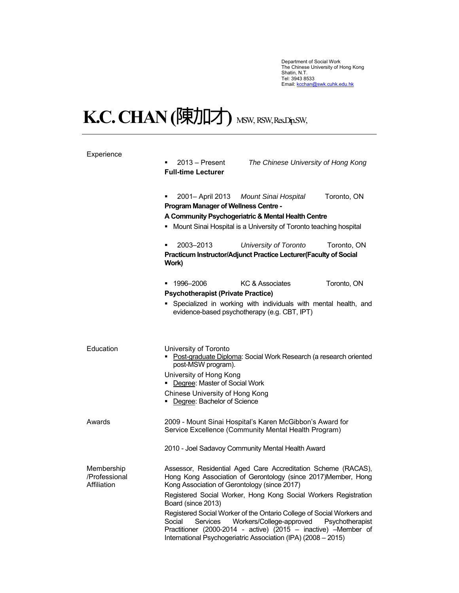Department of Social Work<br>The Chinese University of Hong Kong<br>Shatin, N.T.<br>Tel: 3943 8533<br>Email: <u>kcchan@swk.cuhk.edu.hk</u>

## K.C. CHAN (陳加才) MSW, RSW, Res.Dip.SW,

| Experience                                 | $2013 -$ Present<br>The Chinese University of Hong Kong<br>٠<br><b>Full-time Lecturer</b>                                                                                                                                                                                     |
|--------------------------------------------|-------------------------------------------------------------------------------------------------------------------------------------------------------------------------------------------------------------------------------------------------------------------------------|
|                                            | Toronto, ON<br>2001 - April 2013<br><b>Mount Sinai Hospital</b><br><b>Program Manager of Wellness Centre -</b>                                                                                                                                                                |
|                                            | A Community Psychogeriatric & Mental Health Centre                                                                                                                                                                                                                            |
|                                            | • Mount Sinai Hospital is a University of Toronto teaching hospital                                                                                                                                                                                                           |
|                                            | 2003-2013<br>University of Toronto<br>Toronto, ON<br>Practicum Instructor/Adjunct Practice Lecturer(Faculty of Social<br>Work)                                                                                                                                                |
|                                            | KC & Associates<br>Toronto, ON<br>1996–2006<br>٠<br><b>Psychotherapist (Private Practice)</b>                                                                                                                                                                                 |
|                                            | Specialized in working with individuals with mental health, and<br>evidence-based psychotherapy (e.g. CBT, IPT)                                                                                                                                                               |
| Education                                  | University of Toronto<br>• Post-graduate Diploma: Social Work Research (a research oriented<br>post-MSW program).<br>University of Hong Kong<br>• Degree: Master of Social Work<br>Chinese University of Hong Kong<br>Degree: Bachelor of Science                             |
| Awards                                     | 2009 - Mount Sinai Hospital's Karen McGibbon's Award for<br>Service Excellence (Community Mental Health Program)                                                                                                                                                              |
|                                            | 2010 - Joel Sadavoy Community Mental Health Award                                                                                                                                                                                                                             |
| Membership<br>/Professional<br>Affiliation | Assessor, Residential Aged Care Accreditation Scheme (RACAS),<br>Hong Kong Association of Gerontology (since 2017)Member, Hong<br>Kong Association of Gerontology (since 2017)                                                                                                |
|                                            | Registered Social Worker, Hong Kong Social Workers Registration<br>Board (since 2013)                                                                                                                                                                                         |
|                                            | Registered Social Worker of the Ontario College of Social Workers and<br>Services<br>Workers/College-approved<br>Social<br>Psychotherapist<br>Practitioner (2000-2014 - active) (2015 – inactive) –Member of<br>International Psychogeriatric Association (IPA) (2008 - 2015) |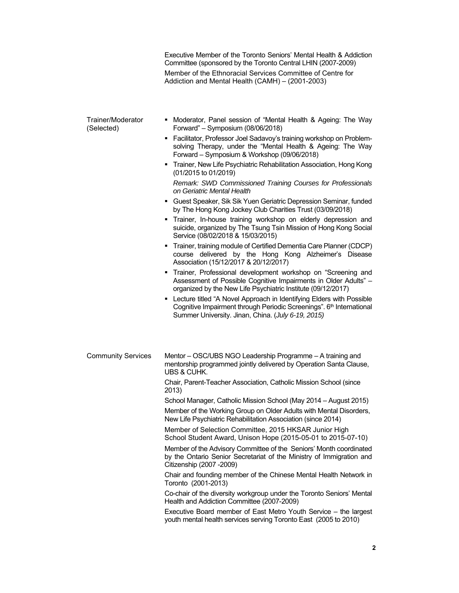|                                 | Executive Member of the Toronto Seniors' Mental Health & Addiction<br>Committee (sponsored by the Toronto Central LHIN (2007-2009)                                                                                                                                                                                                                                                                                                                                                                                                                                                                                                                                                                                                                                                                                                                                                                                                                                                                                                                                                                                |
|---------------------------------|-------------------------------------------------------------------------------------------------------------------------------------------------------------------------------------------------------------------------------------------------------------------------------------------------------------------------------------------------------------------------------------------------------------------------------------------------------------------------------------------------------------------------------------------------------------------------------------------------------------------------------------------------------------------------------------------------------------------------------------------------------------------------------------------------------------------------------------------------------------------------------------------------------------------------------------------------------------------------------------------------------------------------------------------------------------------------------------------------------------------|
|                                 | Member of the Ethnoracial Services Committee of Centre for<br>Addiction and Mental Health (CAMH) - (2001-2003)                                                                                                                                                                                                                                                                                                                                                                                                                                                                                                                                                                                                                                                                                                                                                                                                                                                                                                                                                                                                    |
| Trainer/Moderator<br>(Selected) | • Moderator, Panel session of "Mental Health & Ageing: The Way<br>Forward" - Symposium (08/06/2018)<br>• Facilitator, Professor Joel Sadavoy's training workshop on Problem-<br>solving Therapy, under the "Mental Health & Ageing: The Way<br>Forward - Symposium & Workshop (09/06/2018)<br>" Trainer, New Life Psychiatric Rehabilitation Association, Hong Kong<br>(01/2015 to 01/2019)<br>Remark: SWD Commissioned Training Courses for Professionals<br>on Geriatric Mental Health<br>• Guest Speaker, Sik Sik Yuen Geriatric Depression Seminar, funded<br>by The Hong Kong Jockey Club Charities Trust (03/09/2018)<br>Trainer, In-house training workshop on elderly depression and<br>suicide, organized by The Tsung Tsin Mission of Hong Kong Social<br>Service (08/02/2018 & 15/03/2015)<br>" Trainer, training module of Certified Dementia Care Planner (CDCP)<br>course delivered by the Hong Kong Alzheimer's Disease                                                                                                                                                                            |
|                                 | Association (15/12/2017 & 20/12/2017)<br>• Trainer, Professional development workshop on "Screening and<br>Assessment of Possible Cognitive Impairments in Older Adults" -<br>organized by the New Life Psychiatric Institute (09/12/2017)<br>• Lecture titled "A Novel Approach in Identifying Elders with Possible<br>Cognitive Impairment through Periodic Screenings". 6th International<br>Summer University. Jinan, China. (July 6-19, 2015)                                                                                                                                                                                                                                                                                                                                                                                                                                                                                                                                                                                                                                                                |
| <b>Community Services</b>       | Mentor - OSC/UBS NGO Leadership Programme - A training and<br>mentorship programmed jointly delivered by Operation Santa Clause,<br><b>UBS &amp; CUHK.</b><br>Chair, Parent-Teacher Association, Catholic Mission School (since<br>2013)<br>School Manager, Catholic Mission School (May 2014 - August 2015)<br>Member of the Working Group on Older Adults with Mental Disorders,<br>New Life Psychiatric Rehabilitation Association (since 2014)<br>Member of Selection Committee, 2015 HKSAR Junior High<br>School Student Award, Unison Hope (2015-05-01 to 2015-07-10)<br>Member of the Advisory Committee of the Seniors' Month coordinated<br>by the Ontario Senior Secretariat of the Ministry of Immigration and<br>Citizenship (2007 - 2009)<br>Chair and founding member of the Chinese Mental Health Network in<br>Toronto (2001-2013)<br>Co-chair of the diversity workgroup under the Toronto Seniors' Mental<br>Health and Addiction Committee (2007-2009)<br>Executive Board member of East Metro Youth Service - the largest<br>youth mental health services serving Toronto East (2005 to 2010) |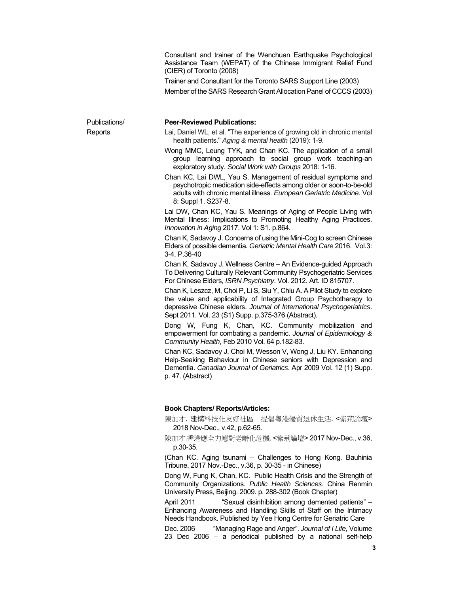Consultant and trainer of the Wenchuan Earthquake Psychological Assistance Team (WEPAT) of the Chinese Immigrant Relief Fund (CIER) of Toronto (2008)

Trainer and Consultant for the Toronto SARS Support Line (2003) Member of the SARS Research Grant Allocation Panel of CCCS (2003)

Publications/ **Reports** 

## **Peer-Reviewed Publications:**

- Lai, Daniel WL, et al. "The experience of growing old in chronic mental health patients." *Aging & mental health* (2019): 1-9.
- Wong MMC, Leung TYK, and Chan KC. The application of a small group learning approach to social group work teaching-an exploratory study. *Social Work with Groups* 2018: 1-16.
- Chan KC, Lai DWL, Yau S. Management of residual symptoms and psychotropic medication side-effects among older or soon-to-be-old adults with chronic mental illness. *European Geriatric Medicine*. Vol 8: Suppl 1. S237-8.

Lai DW, Chan KC, Yau S. Meanings of Aging of People Living with Mental Illness: Implications to Promoting Healthy Aging Practices. *Innovation in Aging* 2017. Vol 1: S1. p.864.

Chan K, Sadavoy J. Concerns of using the Mini-Cog to screen Chinese Elders of possible dementia*. Geriatric Mental Health Care* 2016. Vol.3: 3-4. P.36-40

Chan K, Sadavoy J. Wellness Centre – An Evidence-guided Approach To Delivering Culturally Relevant Community Psychogeriatric Services For Chinese Elders, *ISRN Psychiatry*. Vol. 2012. Art. ID 815707.

Chan K, Leszcz, M, Choi P, Li S, Siu Y, Chiu A. A Pilot Study to explore the value and applicability of Integrated Group Psychotherapy to depressive Chinese elders. *Journal of International Psychogeriatrics*. Sept 2011. Vol. 23 (S1) Supp. p.375-376 (Abstract).

Dong W, Fung K, Chan, KC. Community mobilization and empowerment for combating a pandemic. *Journal of Epidemiology & Community Health*, Feb 2010 Vol. 64 p.182-83.

Chan KC, Sadavoy J, Choi M, Wesson V, Wong J, Liu KY. Enhancing Help-Seeking Behaviour in Chinese seniors with Depression and Dementia. *Canadian Journal of Geriatrics*. Apr 2009 Vol. 12 (1) Supp. p. 47. (Abstract)

## **Book Chapters/ Reports/Articles:**

陳加才. 建構科技化友好社區 提倡粵港優質退休生活. <紫荊論壇> 2018 Nov-Dec., v.42, p.62-65.

陳加才.香港應全力應對老齡化危機. <紫荊論壇> 2017 Nov-Dec., v.36, p.30-35.

(Chan KC. Aging tsunami – Challenges to Hong Kong. Bauhinia Tribune, 2017 Nov.-Dec., v.36, p. 30-35 - in Chinese)

Dong W, Fung K, Chan, KC. Public Health Crisis and the Strength of Community Organizations. *Public Health Sciences*. China Renmin University Press, Beijing. 2009. p. 288-302 (Book Chapter)

April 2011 "Sexual disinhibition among demented patients" – Enhancing Awareness and Handling Skills of Staff on the Intimacy Needs Handbook. Published by Yee Hong Centre for Geriatric Care

Dec. 2006 "Managing Rage and Anger". *Journal of I Life*, Volume 23 Dec 2006 – a periodical published by a national self-help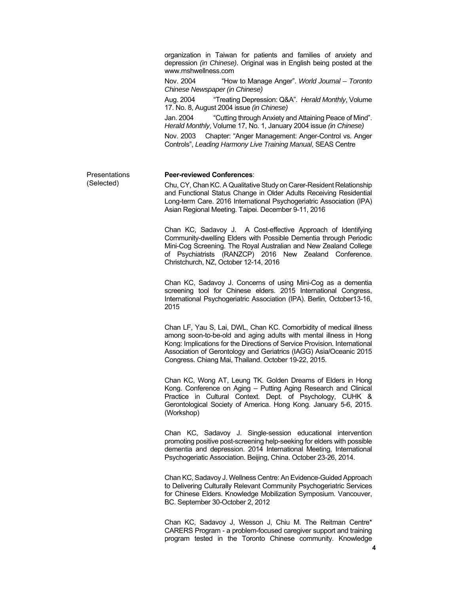organization in Taiwan for patients and families of anxiety and depression *(in Chinese)*. Original was in English being posted at the www.mshwellness.com

 Nov. 2004 "How to Manage Anger". *World Journal – Toronto Chinese Newspaper (in Chinese)*

 Aug. 2004 "Treating Depression: Q&A". *Herald Monthly*, Volume 17. No. 8, August 2004 issue *(in Chinese)*

Jan. 2004 "Cutting through Anxiety and Attaining Peace of Mind". *Herald Monthly*, Volume 17, No. 1, January 2004 issue *(in Chinese)*

 Nov. 2003 Chapter: "Anger Management: Anger-Control vs. Anger Controls", *Leading Harmony Live Training Manual*, SEAS Centre

**Presentations** (Selected)

## **Peer-reviewed Conferences**:

Chu, CY, Chan KC. A Qualitative Study on Carer-Resident Relationship and Functional Status Change in Older Adults Receiving Residential Long-term Care. 2016 International Psychogeriatric Association (IPA) Asian Regional Meeting. Taipei. December 9-11, 2016

Chan KC, Sadavoy J. A Cost-effective Approach of Identifying Community-dwelling Elders with Possible Dementia through Periodic Mini-Cog Screening. The Royal Australian and New Zealand College of Psychiatrists (RANZCP) 2016 New Zealand Conference. Christchurch, NZ, October 12-14, 2016

Chan KC, Sadavoy J. Concerns of using Mini-Cog as a dementia screening tool for Chinese elders. 2015 International Congress, International Psychogeriatric Association (IPA). Berlin, October13-16, 2015

Chan LF, Yau S, Lai, DWL, Chan KC. Comorbidity of medical illness among soon-to-be-old and aging adults with mental illness in Hong Kong: Implications for the Directions of Service Provision. International Association of Gerontology and Geriatrics (IAGG) Asia/Oceanic 2015 Congress. Chiang Mai, Thailand. October 19-22, 2015.

Chan KC, Wong AT, Leung TK. Golden Dreams of Elders in Hong Kong. Conference on Aging – Putting Aging Research and Clinical Practice in Cultural Context. Dept. of Psychology, CUHK & Gerontological Society of America. Hong Kong. January 5-6, 2015. (Workshop)

Chan KC, Sadavoy J. Single-session educational intervention promoting positive post-screening help-seeking for elders with possible dementia and depression. 2014 International Meeting, International Psychogeriatic Association. Beijing, China. October 23-26, 2014.

Chan KC, Sadavoy J. Wellness Centre: An Evidence-Guided Approach to Delivering Culturally Relevant Community Psychogeriatric Services for Chinese Elders. Knowledge Mobilization Symposium. Vancouver, BC. September 30-October 2, 2012

Chan KC, Sadavoy J, Wesson J, Chiu M. The Reitman Centre\* CARERS Program - a problem-focused caregiver support and training program tested in the Toronto Chinese community. Knowledge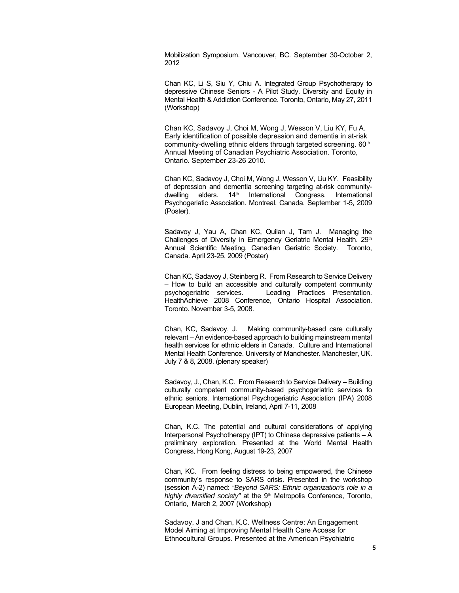Mobilization Symposium. Vancouver, BC. September 30-October 2, 2012

Chan KC, Li S, Siu Y, Chiu A. Integrated Group Psychotherapy to depressive Chinese Seniors - A Pilot Study. Diversity and Equity in Mental Health & Addiction Conference. Toronto, Ontario, May 27, 2011 (Workshop)

Chan KC, Sadavoy J, Choi M, Wong J, Wesson V, Liu KY, Fu A. Early identification of possible depression and dementia in at-risk community-dwelling ethnic elders through targeted screening. 60<sup>th</sup> Annual Meeting of Canadian Psychiatric Association. Toronto, Ontario. September 23-26 2010.

Chan KC, Sadavoy J, Choi M, Wong J, Wesson V, Liu KY. Feasibility of depression and dementia screening targeting at-risk communitydwelling elders.  $14<sup>th</sup>$  International Congress. International Psychogeriatic Association. Montreal, Canada. September 1-5, 2009 (Poster).

Sadavoy J, Yau A, Chan KC, Quilan J, Tam J. Managing the Challenges of Diversity in Emergency Geriatric Mental Health. 29th Annual Scientific Meeting, Canadian Geriatric Society. Toronto, Canada. April 23-25, 2009 (Poster)

Chan KC, Sadavoy J, Steinberg R. From Research to Service Delivery – How to build an accessible and culturally competent community psychogeriatric services. Leading Practices Presentation. HealthAchieve 2008 Conference, Ontario Hospital Association. Toronto. November 3-5, 2008.

Chan, KC, Sadavoy, J. Making community-based care culturally relevant – An evidence-based approach to building mainstream mental health services for ethnic elders in Canada. Culture and International Mental Health Conference. University of Manchester. Manchester, UK. July 7 & 8, 2008. (plenary speaker)

Sadavoy, J., Chan, K.C. From Research to Service Delivery – Building culturally competent community-based psychogeriatric services fo ethnic seniors. International Psychogeriatric Association (IPA) 2008 European Meeting, Dublin, Ireland, April 7-11, 2008

Chan, K.C. The potential and cultural considerations of applying Interpersonal Psychotherapy (IPT) to Chinese depressive patients – A preliminary exploration. Presented at the World Mental Health Congress, Hong Kong, August 19-23, 2007

Chan, KC. From feeling distress to being empowered, the Chinese community's response to SARS crisis. Presented in the workshop (session A-2) named: *"Beyond SARS: Ethnic organization's role in a highly diversified society*" at the 9<sup>th</sup> Metropolis Conference, Toronto, Ontario, March 2, 2007 (Workshop)

Sadavoy, J and Chan, K.C. Wellness Centre: An Engagement Model Aiming at Improving Mental Health Care Access for Ethnocultural Groups. Presented at the American Psychiatric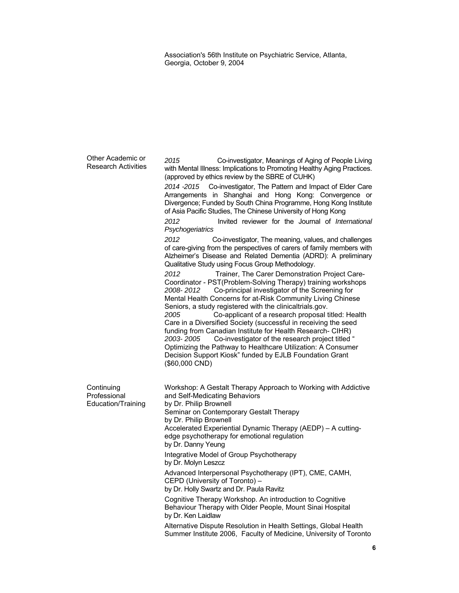Association's 56th Institute on Psychiatric Service, Atlanta, Georgia, October 9, 2004

Other Academic or Research Activities *2015* Co-investigator, Meanings of Aging of People Living with Mental Illness: Implications to Promoting Healthy Aging Practices. (approved by ethics review by the SBRE of CUHK) *2014 -2015* Co-investigator, The Pattern and Impact of Elder Care Arrangements in Shanghai and Hong Kong: Convergence or Divergence; Funded by South China Programme, Hong Kong Institute of Asia Pacific Studies, The Chinese University of Hong Kong *2012* Invited reviewer for the Journal of *International Psychogeriatrics 2012* Co-investigator, The meaning, values, and challenges of care-giving from the perspectives of carers of family members with Alzheimer's Disease and Related Dementia (ADRD): A preliminary Qualitative Study using Focus Group Methodology. *2012* Trainer, The Carer Demonstration Project Care-Coordinator - PST(Problem-Solving Therapy) training workshops *2008- 2012* Co-principal investigator of the Screening for Mental Health Concerns for at-Risk Community Living Chinese Seniors, a study registered with the clinicaltrials.gov. *2005* Co-applicant of a research proposal titled: Health Care in a Diversified Society (successful in receiving the seed funding from Canadian Institute for Health Research- CIHR) *2003- 2005* Co-investigator of the research project titled " Optimizing the Pathway to Healthcare Utilization: A Consumer Decision Support Kiosk" funded by EJLB Foundation Grant (\$60,000 CND) **Continuing** Professional Education/Training Workshop: A Gestalt Therapy Approach to Working with Addictive and Self-Medicating Behaviors by Dr. Philip Brownell Seminar on Contemporary Gestalt Therapy by Dr. Philip Brownell Accelerated Experiential Dynamic Therapy (AEDP) – A cuttingedge psychotherapy for emotional regulation by Dr. Danny Yeung Integrative Model of Group Psychotherapy by Dr. Molyn Leszcz Advanced Interpersonal Psychotherapy (IPT), CME, CAMH, CEPD (University of Toronto) – by Dr. Holly Swartz and Dr. Paula Ravitz Cognitive Therapy Workshop. An introduction to Cognitive Behaviour Therapy with Older People, Mount Sinai Hospital by Dr. Ken Laidlaw Alternative Dispute Resolution in Health Settings, Global Health Summer Institute 2006, Faculty of Medicine, University of Toronto